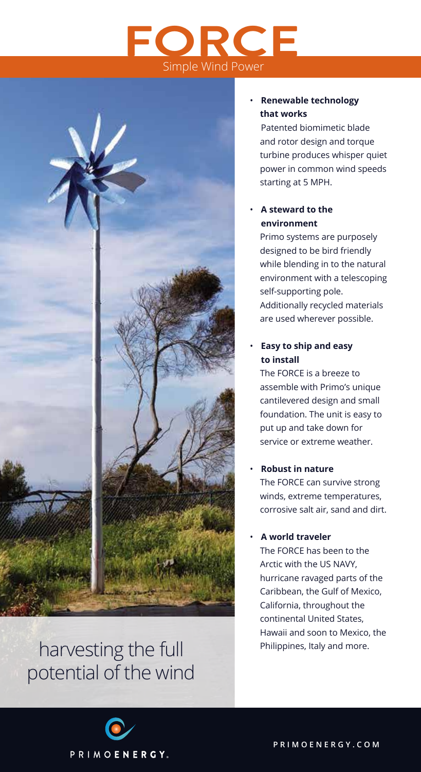## **FORCE** Simple Wind Power



### harvesting the full **Philippines**, Italy and more. potential of the wind

#### • **Renewable technology that works**

 Patented biomimetic blade and rotor design and torque turbine produces whisper quiet power in common wind speeds starting at 5 MPH.

#### • **A steward to the environment**

Primo systems are purposely designed to be bird friendly while blending in to the natural environment with a telescoping self-supporting pole. Additionally recycled materials are used wherever possible.

#### • **Easy to ship and easy to install**

The FORCE is a breeze to assemble with Primo's unique cantilevered design and small foundation. The unit is easy to put up and take down for service or extreme weather.

#### • **Robust in nature**

The FORCE can survive strong winds, extreme temperatures, corrosive salt air, sand and dirt.

#### • **A world traveler**

The FORCE has been to the Arctic with the US NAVY, hurricane ravaged parts of the Caribbean, the Gulf of Mexico, California, throughout the continental United States, Hawaii and soon to Mexico, the